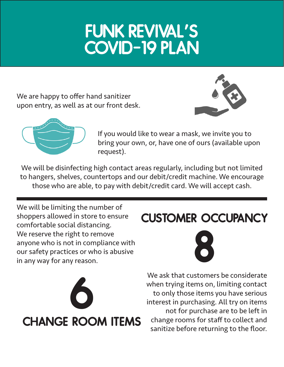## FUNK REVIVAL'S COVID-19 PLAN

We are happy to offer hand sanitizer upon entry, as well as at our front desk.





If you would like to wear a mask, we invite you to bring your own, or, have one of ours (available upon request).

We will be disinfecting high contact areas regularly, including but not limited to hangers, shelves, countertops and our debit/credit machine. We encourage those who are able, to pay with debit/credit card. We will accept cash.

We will be limiting the number of shoppers allowed in store to ensure comfortable social distancing. We reserve the right to remove anyone who is not in compliance with our safety practices or who is abusive in any way for any reason.



## customer occupancy



We ask that customers be considerate when trying items on, limiting contact to only those items you have serious interest in purchasing. All try on items not for purchase are to be left in change rooms for staff to collect and sanitize before returning to the floor.